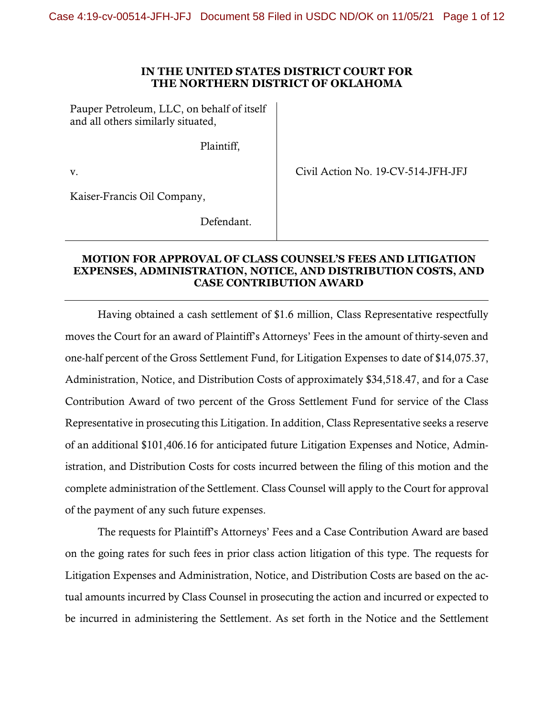## **IN THE UNITED STATES DISTRICT COURT FOR THE NORTHERN DISTRICT OF OKLAHOMA**

Pauper Petroleum, LLC, on behalf of itself and all others similarly situated,

Plaintiff,

v.

Civil Action No. 19-CV-514-JFH-JFJ

Kaiser-Francis Oil Company,

Defendant.

## **MOTION FOR APPROVAL OF CLASS COUNSEL'S FEES AND LITIGATION EXPENSES, ADMINISTRATION, NOTICE, AND DISTRIBUTION COSTS, AND CASE CONTRIBUTION AWARD**

Having obtained a cash settlement of \$1.6 million, Class Representative respectfully moves the Court for an award of Plaintiff's Attorneys' Fees in the amount of thirty-seven and one-half percent of the Gross Settlement Fund, for Litigation Expenses to date of \$14,075.37, Administration, Notice, and Distribution Costs of approximately \$34,518.47, and for a Case Contribution Award of two percent of the Gross Settlement Fund for service of the Class Representative in prosecuting this Litigation. In addition, Class Representative seeks a reserve of an additional \$101,406.16 for anticipated future Litigation Expenses and Notice, Administration, and Distribution Costs for costs incurred between the filing of this motion and the complete administration of the Settlement. Class Counsel will apply to the Court for approval of the payment of any such future expenses.

The requests for Plaintiff's Attorneys' Fees and a Case Contribution Award are based on the going rates for such fees in prior class action litigation of this type. The requests for Litigation Expenses and Administration, Notice, and Distribution Costs are based on the actual amounts incurred by Class Counsel in prosecuting the action and incurred or expected to be incurred in administering the Settlement. As set forth in the Notice and the Settlement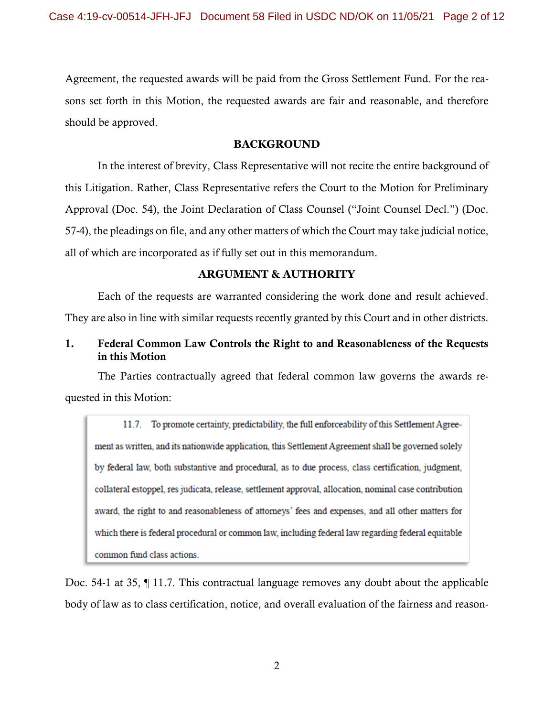Agreement, the requested awards will be paid from the Gross Settlement Fund. For the reasons set forth in this Motion, the requested awards are fair and reasonable, and therefore should be approved.

## **BACKGROUND**

In the interest of brevity, Class Representative will not recite the entire background of this Litigation. Rather, Class Representative refers the Court to the Motion for Preliminary Approval (Doc. 54), the Joint Declaration of Class Counsel ("Joint Counsel Decl.") (Doc. 57-4), the pleadings on file, and any other matters of which the Court may take judicial notice, all of which are incorporated as if fully set out in this memorandum.

## **ARGUMENT & AUTHORITY**

Each of the requests are warranted considering the work done and result achieved. They are also in line with similar requests recently granted by this Court and in other districts.

# 1. Federal Common Law Controls the Right to and Reasonableness of the Requests in this Motion

The Parties contractually agreed that federal common law governs the awards requested in this Motion:

11.7. To promote certainty, predictability, the full enforceability of this Settlement Agreement as written, and its nationwide application, this Settlement Agreement shall be governed solely by federal law, both substantive and procedural, as to due process, class certification, judgment, collateral estoppel, res judicata, release, settlement approval, allocation, nominal case contribution award, the right to and reasonableness of attorneys' fees and expenses, and all other matters for which there is federal procedural or common law, including federal law regarding federal equitable common fund class actions.

Doc. 54-1 at 35, ¶ 11.7. This contractual language removes any doubt about the applicable body of law as to class certification, notice, and overall evaluation of the fairness and reason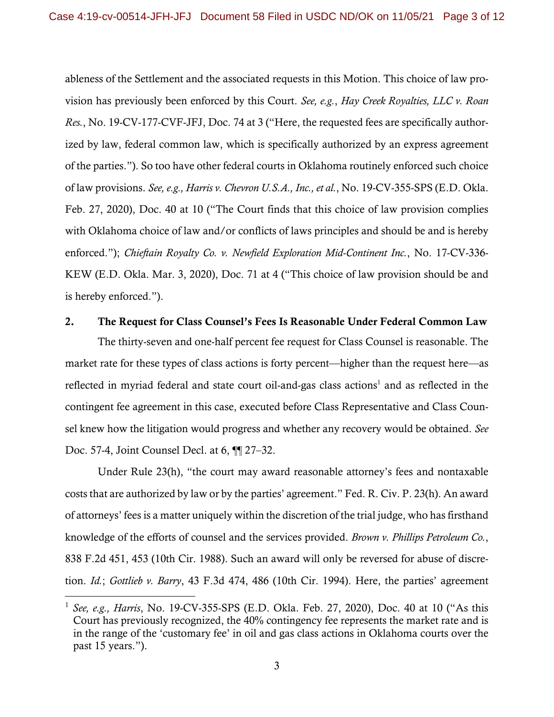ableness of the Settlement and the associated requests in this Motion. This choice of law provision has previously been enforced by this Court. *See, e.g.*, *Hay Creek Royalties, LLC v. Roan Res.*, No. 19-CV-177-CVF-JFJ, Doc. 74 at 3 ("Here, the requested fees are specifically authorized by law, federal common law, which is specifically authorized by an express agreement of the parties."). So too have other federal courts in Oklahoma routinely enforced such choice of law provisions. *See, e.g., Harris v. Chevron U.S.A., Inc., et al.*, No. 19-CV-355-SPS (E.D. Okla. Feb. 27, 2020), Doc. 40 at 10 ("The Court finds that this choice of law provision complies with Oklahoma choice of law and/or conflicts of laws principles and should be and is hereby enforced."); *Chieftain Royalty Co. v. Newfield Exploration Mid-Continent Inc.*, No. 17-CV-336- KEW (E.D. Okla. Mar. 3, 2020), Doc. 71 at 4 ("This choice of law provision should be and is hereby enforced.").

### 2. The Request for Class Counsel's Fees Is Reasonable Under Federal Common Law

The thirty-seven and one-half percent fee request for Class Counsel is reasonable. The market rate for these types of class actions is forty percent—higher than the request here—as reflected in myriad federal and state court oil-and-gas class actions<sup>1</sup> and as reflected in the contingent fee agreement in this case, executed before Class Representative and Class Counsel knew how the litigation would progress and whether any recovery would be obtained. *See*  Doc. 57-4, Joint Counsel Decl. at 6, ¶¶ 27–32.

Under Rule 23(h), "the court may award reasonable attorney's fees and nontaxable costs that are authorized by law or by the parties' agreement." Fed. R. Civ. P. 23(h). An award of attorneys' fees is a matter uniquely within the discretion of the trial judge, who has firsthand knowledge of the efforts of counsel and the services provided. *Brown v. Phillips Petroleum Co.*, 838 F.2d 451, 453 (10th Cir. 1988). Such an award will only be reversed for abuse of discretion. *Id.*; *Gottlieb v. Barry*, 43 F.3d 474, 486 (10th Cir. 1994). Here, the parties' agreement

<sup>1</sup> *See, e.g., Harris*, No. 19-CV-355-SPS (E.D. Okla. Feb. 27, 2020), Doc. 40 at 10 ("As this Court has previously recognized, the 40% contingency fee represents the market rate and is in the range of the 'customary fee' in oil and gas class actions in Oklahoma courts over the past 15 years.").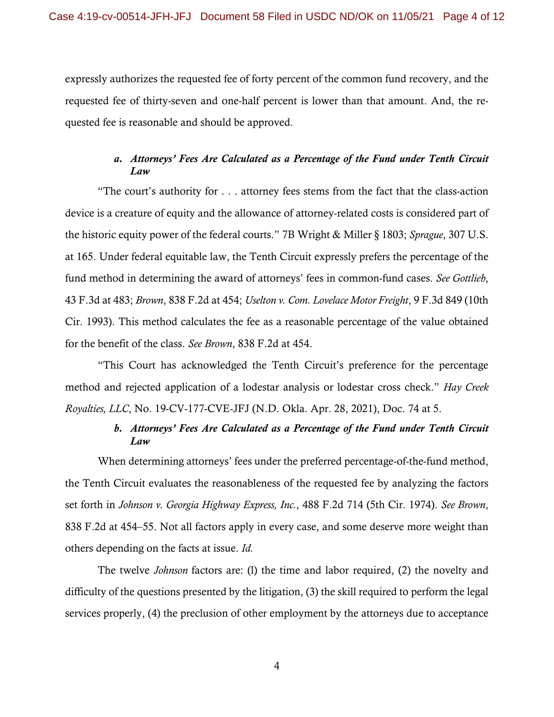expressly authorizes the requested fee of forty percent of the common fund recovery, and the requested fee of thirty-seven and one-half percent is lower than that amount. And, the requested fee is reasonable and should be approved.

# *a. Attorneys' Fees Are Calculated as a Percentage of the Fund under Tenth Circuit Law*

"The court's authority for . . . attorney fees stems from the fact that the class-action device is a creature of equity and the allowance of attorney-related costs is considered part of the historic equity power of the federal courts." 7B Wright & Miller § 1803; *Sprague*, 307 U.S. at 165. Under federal equitable law, the Tenth Circuit expressly prefers the percentage of the fund method in determining the award of attorneys' fees in common-fund cases. *See Gottlieb*, 43 F.3d at 483; *Brown*, 838 F.2d at 454; *Uselton v. Com. Lovelace Motor Freight*, 9 F.3d 849 (10th Cir. 1993). This method calculates the fee as a reasonable percentage of the value obtained for the benefit of the class. *See Brown*, 838 F.2d at 454.

"This Court has acknowledged the Tenth Circuit's preference for the percentage method and rejected application of a lodestar analysis or lodestar cross check." *Hay Creek Royalties, LLC*, No. 19-CV-177-CVE-JFJ (N.D. Okla. Apr. 28, 2021), Doc. 74 at 5.

# *b. Attorneys' Fees Are Calculated as a Percentage of the Fund under Tenth Circuit Law*

When determining attorneys' fees under the preferred percentage-of-the-fund method, the Tenth Circuit evaluates the reasonableness of the requested fee by analyzing the factors set forth in *Johnson v. Georgia Highway Express, Inc.*, 488 F.2d 714 (5th Cir. 1974). *See Brown*, 838 F.2d at 454–55. Not all factors apply in every case, and some deserve more weight than others depending on the facts at issue. *Id.*

The twelve *Johnson* factors are: (l) the time and labor required, (2) the novelty and difficulty of the questions presented by the litigation, (3) the skill required to perform the legal services properly, (4) the preclusion of other employment by the attorneys due to acceptance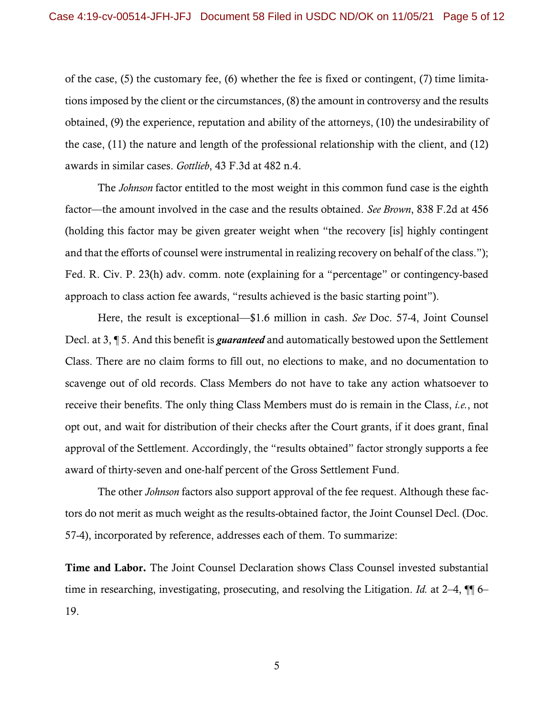of the case, (5) the customary fee, (6) whether the fee is fixed or contingent, (7) time limitations imposed by the client or the circumstances, (8) the amount in controversy and the results obtained, (9) the experience, reputation and ability of the attorneys, (10) the undesirability of the case, (11) the nature and length of the professional relationship with the client, and (12) awards in similar cases. *Gottlieb*, 43 F.3d at 482 n.4.

The *Johnson* factor entitled to the most weight in this common fund case is the eighth factor—the amount involved in the case and the results obtained. *See Brown*, 838 F.2d at 456 (holding this factor may be given greater weight when "the recovery [is] highly contingent and that the efforts of counsel were instrumental in realizing recovery on behalf of the class."); Fed. R. Civ. P. 23(h) adv. comm. note (explaining for a "percentage" or contingency-based approach to class action fee awards, "results achieved is the basic starting point").

Here, the result is exceptional—\$1.6 million in cash. *See* Doc. 57-4, Joint Counsel Decl. at 3, ¶ 5. And this benefit is *guaranteed* and automatically bestowed upon the Settlement Class. There are no claim forms to fill out, no elections to make, and no documentation to scavenge out of old records. Class Members do not have to take any action whatsoever to receive their benefits. The only thing Class Members must do is remain in the Class, *i.e.*, not opt out, and wait for distribution of their checks after the Court grants, if it does grant, final approval of the Settlement. Accordingly, the "results obtained" factor strongly supports a fee award of thirty-seven and one-half percent of the Gross Settlement Fund.

The other *Johnson* factors also support approval of the fee request. Although these factors do not merit as much weight as the results-obtained factor, the Joint Counsel Decl. (Doc. 57-4), incorporated by reference, addresses each of them. To summarize:

Time and Labor. The Joint Counsel Declaration shows Class Counsel invested substantial time in researching, investigating, prosecuting, and resolving the Litigation. *Id.* at 2-4,  $\P$  6-19.

5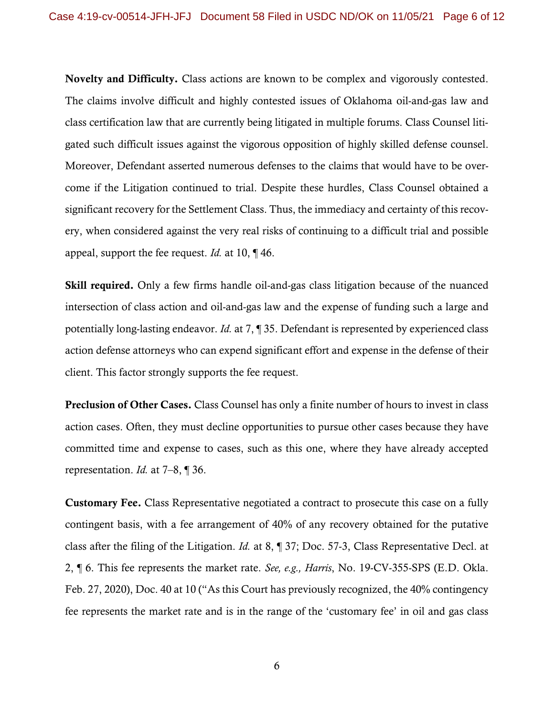Novelty and Difficulty. Class actions are known to be complex and vigorously contested. The claims involve difficult and highly contested issues of Oklahoma oil-and-gas law and class certification law that are currently being litigated in multiple forums. Class Counsel litigated such difficult issues against the vigorous opposition of highly skilled defense counsel. Moreover, Defendant asserted numerous defenses to the claims that would have to be overcome if the Litigation continued to trial. Despite these hurdles, Class Counsel obtained a significant recovery for the Settlement Class. Thus, the immediacy and certainty of this recovery, when considered against the very real risks of continuing to a difficult trial and possible appeal, support the fee request. *Id.* at 10, ¶ 46.

Skill required. Only a few firms handle oil-and-gas class litigation because of the nuanced intersection of class action and oil-and-gas law and the expense of funding such a large and potentially long-lasting endeavor. *Id.* at 7, ¶ 35. Defendant is represented by experienced class action defense attorneys who can expend significant effort and expense in the defense of their client. This factor strongly supports the fee request.

Preclusion of Other Cases. Class Counsel has only a finite number of hours to invest in class action cases. Often, they must decline opportunities to pursue other cases because they have committed time and expense to cases, such as this one, where they have already accepted representation. *Id.* at 7–8, ¶ 36.

Customary Fee. Class Representative negotiated a contract to prosecute this case on a fully contingent basis, with a fee arrangement of 40% of any recovery obtained for the putative class after the filing of the Litigation. *Id.* at 8, ¶ 37; Doc. 57-3, Class Representative Decl. at 2, ¶ 6. This fee represents the market rate. *See, e.g., Harris*, No. 19-CV-355-SPS (E.D. Okla. Feb. 27, 2020), Doc. 40 at 10 ("As this Court has previously recognized, the 40% contingency fee represents the market rate and is in the range of the 'customary fee' in oil and gas class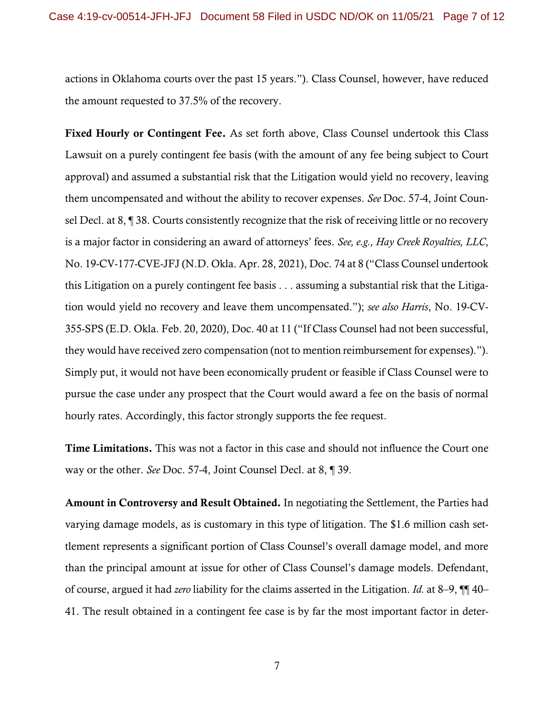actions in Oklahoma courts over the past 15 years."). Class Counsel, however, have reduced the amount requested to 37.5% of the recovery.

Fixed Hourly or Contingent Fee. As set forth above, Class Counsel undertook this Class Lawsuit on a purely contingent fee basis (with the amount of any fee being subject to Court approval) and assumed a substantial risk that the Litigation would yield no recovery, leaving them uncompensated and without the ability to recover expenses. *See* Doc. 57-4, Joint Counsel Decl. at 8, ¶ 38. Courts consistently recognize that the risk of receiving little or no recovery is a major factor in considering an award of attorneys' fees. *See, e.g., Hay Creek Royalties, LLC*, No. 19-CV-177-CVE-JFJ (N.D. Okla. Apr. 28, 2021), Doc. 74 at 8 ("Class Counsel undertook this Litigation on a purely contingent fee basis . . . assuming a substantial risk that the Litigation would yield no recovery and leave them uncompensated."); *see also Harris*, No. 19-CV-355-SPS (E.D. Okla. Feb. 20, 2020), Doc. 40 at 11 ("If Class Counsel had not been successful, they would have received zero compensation (not to mention reimbursement for expenses)."). Simply put, it would not have been economically prudent or feasible if Class Counsel were to pursue the case under any prospect that the Court would award a fee on the basis of normal hourly rates. Accordingly, this factor strongly supports the fee request.

Time Limitations. This was not a factor in this case and should not influence the Court one way or the other. *See* Doc. 57-4, Joint Counsel Decl. at 8, ¶ 39.

Amount in Controversy and Result Obtained. In negotiating the Settlement, the Parties had varying damage models, as is customary in this type of litigation. The \$1.6 million cash settlement represents a significant portion of Class Counsel's overall damage model, and more than the principal amount at issue for other of Class Counsel's damage models. Defendant, of course, argued it had *zero* liability for the claims asserted in the Litigation. *Id.* at 8–9, ¶¶ 40– 41. The result obtained in a contingent fee case is by far the most important factor in deter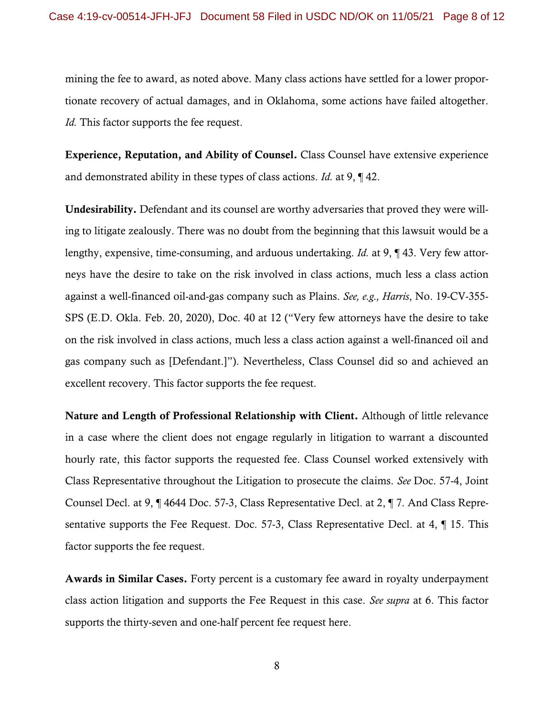mining the fee to award, as noted above. Many class actions have settled for a lower proportionate recovery of actual damages, and in Oklahoma, some actions have failed altogether. *Id.* This factor supports the fee request.

Experience, Reputation, and Ability of Counsel. Class Counsel have extensive experience and demonstrated ability in these types of class actions. *Id.* at 9, ¶ 42.

Undesirability. Defendant and its counsel are worthy adversaries that proved they were willing to litigate zealously. There was no doubt from the beginning that this lawsuit would be a lengthy, expensive, time-consuming, and arduous undertaking. *Id.* at 9, ¶ 43. Very few attorneys have the desire to take on the risk involved in class actions, much less a class action against a well-financed oil-and-gas company such as Plains. *See, e.g., Harris*, No. 19-CV-355- SPS (E.D. Okla. Feb. 20, 2020), Doc. 40 at 12 ("Very few attorneys have the desire to take on the risk involved in class actions, much less a class action against a well-financed oil and gas company such as [Defendant.]"). Nevertheless, Class Counsel did so and achieved an excellent recovery. This factor supports the fee request.

Nature and Length of Professional Relationship with Client. Although of little relevance in a case where the client does not engage regularly in litigation to warrant a discounted hourly rate, this factor supports the requested fee. Class Counsel worked extensively with Class Representative throughout the Litigation to prosecute the claims. *See* Doc. 57-4, Joint Counsel Decl. at 9, ¶ 4644 Doc. 57-3, Class Representative Decl. at 2, ¶ 7. And Class Representative supports the Fee Request. Doc. 57-3, Class Representative Decl. at 4, ¶ 15. This factor supports the fee request.

Awards in Similar Cases. Forty percent is a customary fee award in royalty underpayment class action litigation and supports the Fee Request in this case. *See supra* at 6. This factor supports the thirty-seven and one-half percent fee request here.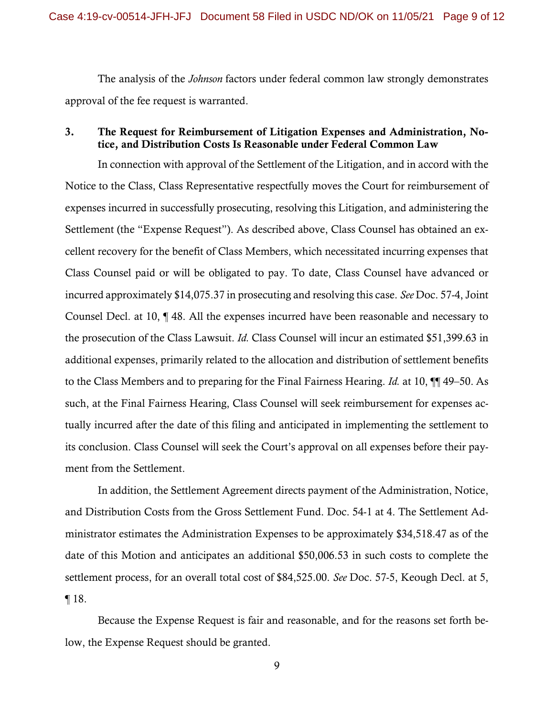The analysis of the *Johnson* factors under federal common law strongly demonstrates approval of the fee request is warranted.

# 3. The Request for Reimbursement of Litigation Expenses and Administration, Notice, and Distribution Costs Is Reasonable under Federal Common Law

In connection with approval of the Settlement of the Litigation, and in accord with the Notice to the Class, Class Representative respectfully moves the Court for reimbursement of expenses incurred in successfully prosecuting, resolving this Litigation, and administering the Settlement (the "Expense Request"). As described above, Class Counsel has obtained an excellent recovery for the benefit of Class Members, which necessitated incurring expenses that Class Counsel paid or will be obligated to pay. To date, Class Counsel have advanced or incurred approximately \$14,075.37 in prosecuting and resolving this case. *See* Doc. 57-4, Joint Counsel Decl. at 10, ¶ 48. All the expenses incurred have been reasonable and necessary to the prosecution of the Class Lawsuit. *Id.* Class Counsel will incur an estimated \$51,399.63 in additional expenses, primarily related to the allocation and distribution of settlement benefits to the Class Members and to preparing for the Final Fairness Hearing. *Id.* at 10, ¶¶ 49–50. As such, at the Final Fairness Hearing, Class Counsel will seek reimbursement for expenses actually incurred after the date of this filing and anticipated in implementing the settlement to its conclusion. Class Counsel will seek the Court's approval on all expenses before their payment from the Settlement.

In addition, the Settlement Agreement directs payment of the Administration, Notice, and Distribution Costs from the Gross Settlement Fund. Doc. 54-1 at 4. The Settlement Administrator estimates the Administration Expenses to be approximately \$34,518.47 as of the date of this Motion and anticipates an additional \$50,006.53 in such costs to complete the settlement process, for an overall total cost of \$84,525.00. *See* Doc. 57-5, Keough Decl. at 5, ¶ 18.

Because the Expense Request is fair and reasonable, and for the reasons set forth below, the Expense Request should be granted.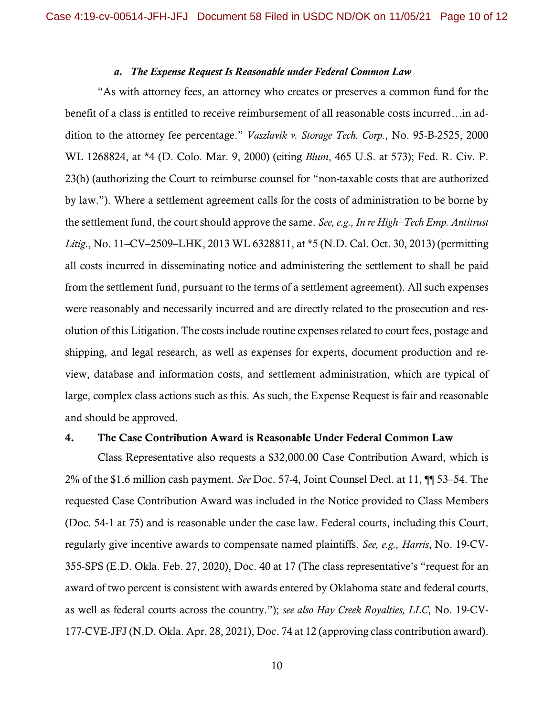#### *a. The Expense Request Is Reasonable under Federal Common Law*

"As with attorney fees, an attorney who creates or preserves a common fund for the benefit of a class is entitled to receive reimbursement of all reasonable costs incurred…in addition to the attorney fee percentage." *Vaszlavik v. Storage Tech. Corp.*, No. 95-B-2525, 2000 WL 1268824, at \*4 (D. Colo. Mar. 9, 2000) (citing *Blum*, 465 U.S. at 573); Fed. R. Civ. P. 23(h) (authorizing the Court to reimburse counsel for "non-taxable costs that are authorized by law."). Where a settlement agreement calls for the costs of administration to be borne by the settlement fund, the court should approve the same. *See, e.g., In re High–Tech Emp. Antitrust Litig*., No. 11–CV–2509–LHK, 2013 WL 6328811, at \*5 (N.D. Cal. Oct. 30, 2013) (permitting all costs incurred in disseminating notice and administering the settlement to shall be paid from the settlement fund, pursuant to the terms of a settlement agreement). All such expenses were reasonably and necessarily incurred and are directly related to the prosecution and resolution of this Litigation. The costs include routine expenses related to court fees, postage and shipping, and legal research, as well as expenses for experts, document production and review, database and information costs, and settlement administration, which are typical of large, complex class actions such as this. As such, the Expense Request is fair and reasonable and should be approved.

#### 4. The Case Contribution Award is Reasonable Under Federal Common Law

Class Representative also requests a \$32,000.00 Case Contribution Award, which is 2% of the \$1.6 million cash payment. *See* Doc. 57-4, Joint Counsel Decl. at 11, ¶¶ 53–54. The requested Case Contribution Award was included in the Notice provided to Class Members (Doc. 54-1 at 75) and is reasonable under the case law. Federal courts, including this Court, regularly give incentive awards to compensate named plaintiffs. *See, e.g., Harris*, No. 19-CV-355-SPS (E.D. Okla. Feb. 27, 2020), Doc. 40 at 17 (The class representative's "request for an award of two percent is consistent with awards entered by Oklahoma state and federal courts, as well as federal courts across the country."); *see also Hay Creek Royalties, LLC*, No. 19-CV-177-CVE-JFJ (N.D. Okla. Apr. 28, 2021), Doc. 74 at 12 (approving class contribution award).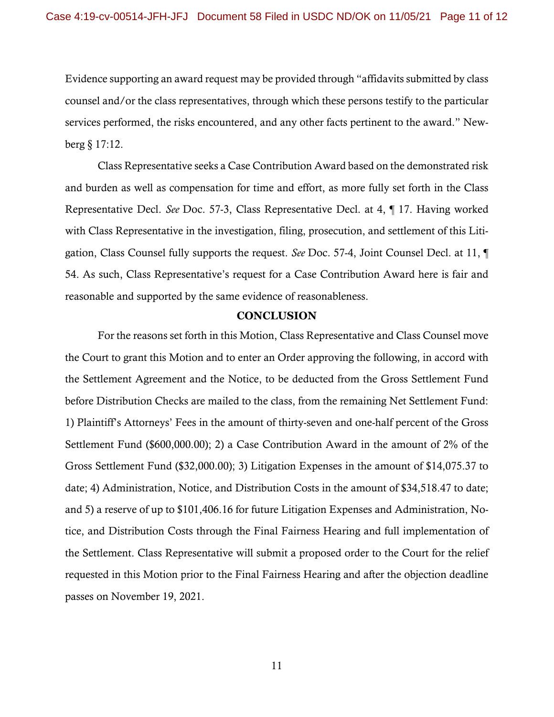Evidence supporting an award request may be provided through "affidavits submitted by class counsel and/or the class representatives, through which these persons testify to the particular services performed, the risks encountered, and any other facts pertinent to the award." Newberg § 17:12.

Class Representative seeks a Case Contribution Award based on the demonstrated risk and burden as well as compensation for time and effort, as more fully set forth in the Class Representative Decl. *See* Doc. 57-3, Class Representative Decl. at 4, ¶ 17. Having worked with Class Representative in the investigation, filing, prosecution, and settlement of this Litigation, Class Counsel fully supports the request. *See* Doc. 57-4, Joint Counsel Decl. at 11, ¶ 54. As such, Class Representative's request for a Case Contribution Award here is fair and reasonable and supported by the same evidence of reasonableness.

### **CONCLUSION**

For the reasons set forth in this Motion, Class Representative and Class Counsel move the Court to grant this Motion and to enter an Order approving the following, in accord with the Settlement Agreement and the Notice, to be deducted from the Gross Settlement Fund before Distribution Checks are mailed to the class, from the remaining Net Settlement Fund: 1) Plaintiff's Attorneys' Fees in the amount of thirty-seven and one-half percent of the Gross Settlement Fund (\$600,000.00); 2) a Case Contribution Award in the amount of 2% of the Gross Settlement Fund (\$32,000.00); 3) Litigation Expenses in the amount of \$14,075.37 to date; 4) Administration, Notice, and Distribution Costs in the amount of \$34,518.47 to date; and 5) a reserve of up to \$101,406.16 for future Litigation Expenses and Administration, Notice, and Distribution Costs through the Final Fairness Hearing and full implementation of the Settlement. Class Representative will submit a proposed order to the Court for the relief requested in this Motion prior to the Final Fairness Hearing and after the objection deadline passes on November 19, 2021.